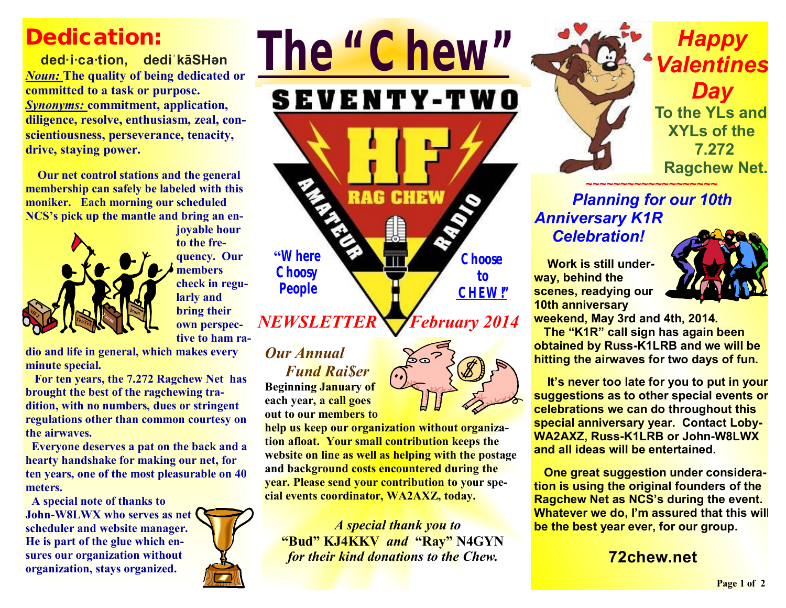# **Dedication:**

 **ded·i·ca·tion, dediˈkāSHən**  *Noun:* **The quality of being dedicated or committed to a task or purpose.**  *Synonyms:* **commitment, application, diligence, resolve, enthusiasm, zeal, conscientiousness, perseverance, tenacity, drive, staying power.** 

 **Our net control stations and the general membership can safely be labeled with this moniker. Each morning our scheduled NCS's pick up the mantle and bring an en-**



**joyable hour to the frequency. Our members check in regularly and bring their own perspective to ham ra-***NEWSLETTER* 

**dio and life in general, which makes every minute special.** 

**For ten years, the 7.272 Ragchew Net has brought the best of the ragchewing tradition, with no numbers, dues or stringent regulations other than common courtesy on the airwaves.** 

 **Everyone deserves a pat on the back and a hearty handshake for making our net, for ten years, one of the most pleasurable on 40 meters.** 

 **A special note of thanks to John-W8LWX who serves as net scheduler and website manager. He is part of the glue which ensures our organization without organization, stays organized.** 



# *Our Annual Fund Rai\$er*

**"Where Choosy People** 

**Beginning January of each year, a call goes out to our members to** 

**help us keep our organization without organization afloat. Your small contribution keeps the website on line as well as helping with the postage and background costs encountered during the year. Please send your contribution to your special events coordinator, WA2AXZ, today.** 

*The "Chew"*

**SEVENTY-TWO** 

**RAG CHEW** 

 *A special thank you to*  **"Bud" KJ4KKV** *and* **"Ray" N4GYN** *for their kind donations to the Chew.* 



*Happy Valentines Day*  **To the YLs and XYLs of the 7.272 Ragchew Net.**

#### **~~~~~~~~~~~~~~~~~~~**  *Planning for our 10th Anniversary K1R Celebration!*

 **Work is still underway, behind the scenes, readying our 10th anniversary** 



**weekend, May 3rd and 4th, 2014.** 

 **The "K1R" call sign has again been obtained by Russ-K1LRB and we will be hitting the airwaves for two days of fun.** 

 **It's never too late for you to put in your suggestions as to other special events or celebrations we can do throughout this special anniversary year. Contact Loby-WA2AXZ, Russ-K1LRB or John-W8LWX and all ideas will be entertained.** 

 **One great suggestion under consideration is using the original founders of the Ragchew Net as NCS's during the event. Whatever we do, I'm assured that this will be the best year ever, for our group.** 

## **72chew.net**



**Choose to CHEW!"**

*February 2014* 

**Page 1 of 2**